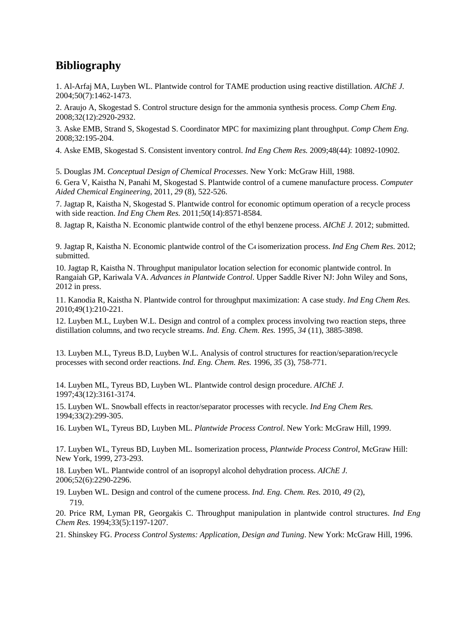## **Bibliography**

1. Al-Arfaj MA, Luyben WL. Plantwide control for TAME production using reactive distillation. *AIChE J.*  2004;50(7):1462-1473.

2. Araujo A, Skogestad S. Control structure design for the ammonia synthesis process. *Comp Chem Eng.*  2008;32(12):2920-2932.

3. Aske EMB, Strand S, Skogestad S. Coordinator MPC for maximizing plant throughput. *Comp Chem Eng.*  2008;32:195-204.

4. Aske EMB, Skogestad S. Consistent inventory control. *Ind Eng Chem Res.* 2009;48(44): 10892-10902.

5. Douglas JM. *Conceptual Design of Chemical Processes*. New York: McGraw Hill, 1988.

6. Gera V, Kaistha N, Panahi M, Skogestad S. Plantwide control of a cumene manufacture process. *Computer Aided Chemical Engineering*, 2011, *29* (8), 522-526.

7. Jagtap R, Kaistha N, Skogestad S. Plantwide control for economic optimum operation of a recycle process with side reaction. *Ind Eng Chem Res.* 2011;50(14):8571-8584.

8. Jagtap R, Kaistha N. Economic plantwide control of the ethyl benzene process. *AIChE J.* 2012; submitted.

9. Jagtap R, Kaistha N. Economic plantwide control of the C4 isomerization process. *Ind Eng Chem Res*. 2012; submitted.

10. Jagtap R, Kaistha N. Throughput manipulator location selection for economic plantwide control. In Rangaiah GP, Kariwala VA. *Advances in Plantwide Control*. Upper Saddle River NJ: John Wiley and Sons, 2012 in press.

11. Kanodia R, Kaistha N. Plantwide control for throughput maximization: A case study. *Ind Eng Chem Res.*  2010;49(1):210-221.

12. Luyben M.L, Luyben W.L. Design and control of a complex process involving two reaction steps, three distillation columns, and two recycle streams. *Ind. Eng. Chem. Res.* 1995, *34* (11), 3885-3898.

13. Luyben M.L, Tyreus B.D, Luyben W.L. Analysis of control structures for reaction/separation/recycle processes with second order reactions. *Ind. Eng. Chem. Res.* 1996, *35* (3), 758-771.

14. Luyben ML, Tyreus BD, Luyben WL. Plantwide control design procedure. *AIChE J.*  1997;43(12):3161-3174.

15. Luyben WL. Snowball effects in reactor/separator processes with recycle. *Ind Eng Chem Res.*  1994;33(2):299-305.

16. Luyben WL, Tyreus BD, Luyben ML. *Plantwide Process Control*. New York: McGraw Hill, 1999.

17. Luyben WL, Tyreus BD, Luyben ML. Isomerization process, *Plantwide Process Control*, McGraw Hill: New York, 1999, 273-293.

18. Luyben WL. Plantwide control of an isopropyl alcohol dehydration process. *AIChE J.*  2006;52(6):2290-2296.

19. Luyben WL. Design and control of the cumene process. *Ind. Eng. Chem. Res.* 2010, *49* (2), 719.

20. Price RM, Lyman PR, Georgakis C. Throughput manipulation in plantwide control structures. *Ind Eng Chem Res.* 1994;33(5):1197-1207.

21. Shinskey FG. *Process Control Systems: Application, Design and Tuning*. New York: McGraw Hill, 1996.